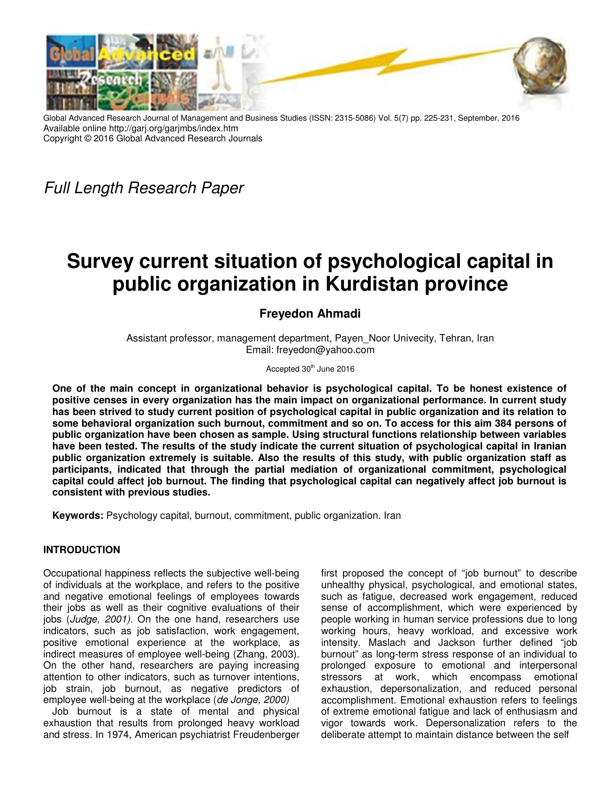

Global Advanced Research Journal of Management and Business Studies (ISSN: 2315-5086) Vol. 5(7) pp. 225-231, September, 2016 Available online http://garj.org/garjmbs/index.htm Copyright © 2016 Global Advanced Research Journals

Full Length Research Paper

# **Survey current situation of psychological capital in public organization in Kurdistan province**

# **Freyedon Ahmadi**

Assistant professor, management department, Payen\_Noor Univecity, Tehran, Iran Email: freyedon@yahoo.com

Accepted 30<sup>th</sup> June 2016

**One of the main concept in organizational behavior is psychological capital. To be honest existence of positive censes in every organization has the main impact on organizational performance. In current study has been strived to study current position of psychological capital in public organization and its relation to some behavioral organization such burnout, commitment and so on. To access for this aim 384 persons of public organization have been chosen as sample. Using structural functions relationship between variables have been tested. The results of the study indicate the current situation of psychological capital in Iranian public organization extremely is suitable. Also the results of this study, with public organization staff as participants, indicated that through the partial mediation of organizational commitment, psychological capital could affect job burnout. The finding that psychological capital can negatively affect job burnout is consistent with previous studies.** 

**Keywords:** Psychology capital, burnout, commitment, public organization. Iran

# **INTRODUCTION**

Occupational happiness reflects the subjective well-being of individuals at the workplace, and refers to the positive and negative emotional feelings of employees towards their jobs as well as their cognitive evaluations of their jobs (Judge, 2001). On the one hand, researchers use indicators, such as job satisfaction, work engagement, positive emotional experience at the workplace, as indirect measures of employee well-being (Zhang, 2003). On the other hand, researchers are paying increasing attention to other indicators, such as turnover intentions, job strain, job burnout, as negative predictors of employee well-being at the workplace (de Jonge, 2000)

Job burnout is a state of mental and physical exhaustion that results from prolonged heavy workload and stress. In 1974, American psychiatrist Freudenberger

first proposed the concept of "job burnout" to describe unhealthy physical, psychological, and emotional states, such as fatigue, decreased work engagement, reduced sense of accomplishment, which were experienced by people working in human service professions due to long working hours, heavy workload, and excessive work intensity. Maslach and Jackson further defined "job burnout" as long-term stress response of an individual to prolonged exposure to emotional and interpersonal stressors at work, which encompass emotional exhaustion, depersonalization, and reduced personal accomplishment. Emotional exhaustion refers to feelings of extreme emotional fatigue and lack of enthusiasm and vigor towards work. Depersonalization refers to the deliberate attempt to maintain distance between the self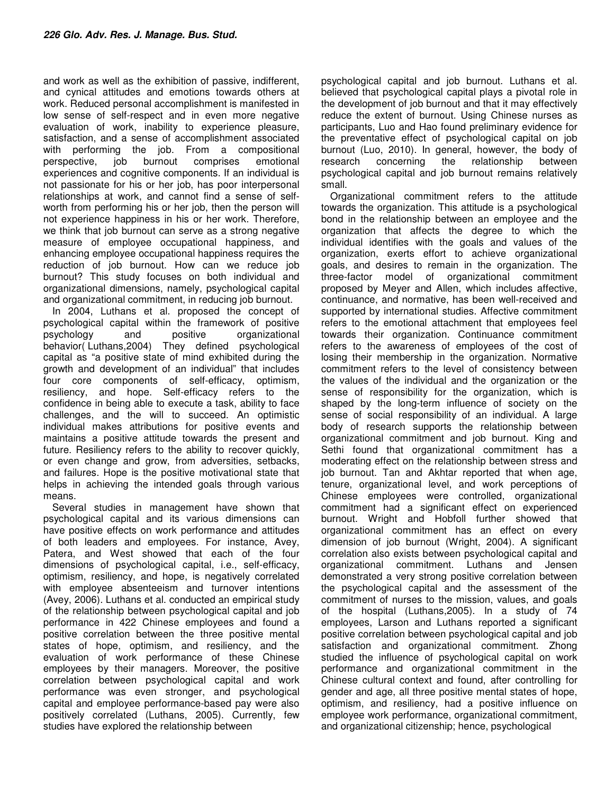and work as well as the exhibition of passive, indifferent, and cynical attitudes and emotions towards others at work. Reduced personal accomplishment is manifested in low sense of self-respect and in even more negative evaluation of work, inability to experience pleasure, satisfaction, and a sense of accomplishment associated with performing the job. From a compositional perspective, job burnout comprises emotional experiences and cognitive components. If an individual is not passionate for his or her job, has poor interpersonal relationships at work, and cannot find a sense of selfworth from performing his or her job, then the person will not experience happiness in his or her work. Therefore, we think that job burnout can serve as a strong negative measure of employee occupational happiness, and enhancing employee occupational happiness requires the reduction of job burnout. How can we reduce job burnout? This study focuses on both individual and organizational dimensions, namely, psychological capital and organizational commitment, in reducing job burnout.

In 2004, Luthans et al. proposed the concept of psychological capital within the framework of positive psychology and positive organizational behavior( Luthans,2004) They defined psychological capital as "a positive state of mind exhibited during the growth and development of an individual" that includes four core components of self-efficacy, optimism, resiliency, and hope. Self-efficacy refers to the confidence in being able to execute a task, ability to face challenges, and the will to succeed. An optimistic individual makes attributions for positive events and maintains a positive attitude towards the present and future. Resiliency refers to the ability to recover quickly, or even change and grow, from adversities, setbacks, and failures. Hope is the positive motivational state that helps in achieving the intended goals through various means.

Several studies in management have shown that psychological capital and its various dimensions can have positive effects on work performance and attitudes of both leaders and employees. For instance, Avey, Patera, and West showed that each of the four dimensions of psychological capital, i.e., self-efficacy, optimism, resiliency, and hope, is negatively correlated with employee absenteeism and turnover intentions (Avey, 2006). Luthans et al. conducted an empirical study of the relationship between psychological capital and job performance in 422 Chinese employees and found a positive correlation between the three positive mental states of hope, optimism, and resiliency, and the evaluation of work performance of these Chinese employees by their managers. Moreover, the positive correlation between psychological capital and work performance was even stronger, and psychological capital and employee performance-based pay were also positively correlated (Luthans, 2005). Currently, few studies have explored the relationship between

psychological capital and job burnout. Luthans et al. believed that psychological capital plays a pivotal role in the development of job burnout and that it may effectively reduce the extent of burnout. Using Chinese nurses as participants, Luo and Hao found preliminary evidence for the preventative effect of psychological capital on job burnout (Luo, 2010). In general, however, the body of research concerning the relationship between psychological capital and job burnout remains relatively small.

Organizational commitment refers to the attitude towards the organization. This attitude is a psychological bond in the relationship between an employee and the organization that affects the degree to which the individual identifies with the goals and values of the organization, exerts effort to achieve organizational goals, and desires to remain in the organization. The three-factor model of organizational commitment proposed by Meyer and Allen, which includes affective, continuance, and normative, has been well-received and supported by international studies. Affective commitment refers to the emotional attachment that employees feel towards their organization. Continuance commitment refers to the awareness of employees of the cost of losing their membership in the organization. Normative commitment refers to the level of consistency between the values of the individual and the organization or the sense of responsibility for the organization, which is shaped by the long-term influence of society on the sense of social responsibility of an individual. A large body of research supports the relationship between organizational commitment and job burnout. King and Sethi found that organizational commitment has a moderating effect on the relationship between stress and job burnout. Tan and Akhtar reported that when age, tenure, organizational level, and work perceptions of Chinese employees were controlled, organizational commitment had a significant effect on experienced burnout. Wright and Hobfoll further showed that organizational commitment has an effect on every dimension of job burnout (Wright, 2004). A significant correlation also exists between psychological capital and organizational commitment. Luthans and Jensen demonstrated a very strong positive correlation between the psychological capital and the assessment of the commitment of nurses to the mission, values, and goals of the hospital (Luthans,2005). In a study of 74 employees, Larson and Luthans reported a significant positive correlation between psychological capital and job satisfaction and organizational commitment. Zhong studied the influence of psychological capital on work performance and organizational commitment in the Chinese cultural context and found, after controlling for gender and age, all three positive mental states of hope, optimism, and resiliency, had a positive influence on employee work performance, organizational commitment, and organizational citizenship; hence, psychological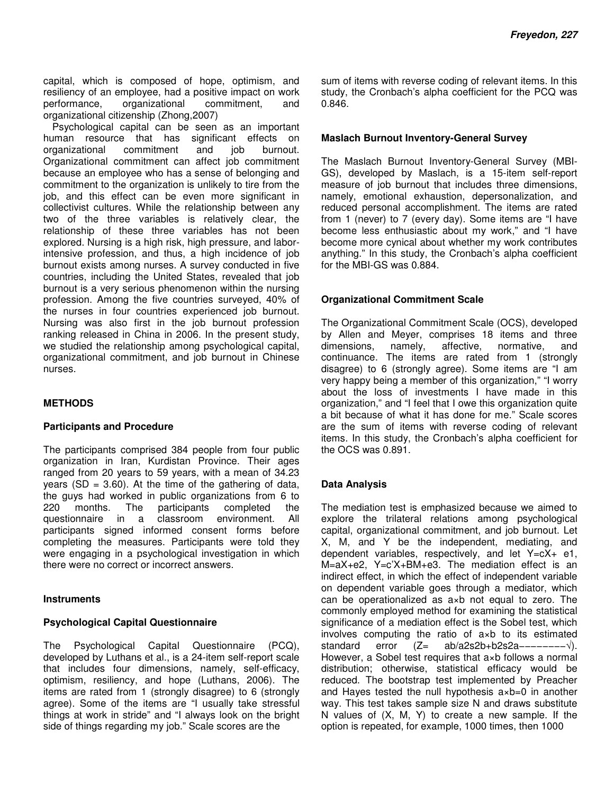capital, which is composed of hope, optimism, and resiliency of an employee, had a positive impact on work performance, organizational commitment, and organizational citizenship (Zhong,2007)

Psychological capital can be seen as an important human resource that has significant effects on organizational commitment and job burnout. Organizational commitment can affect job commitment because an employee who has a sense of belonging and commitment to the organization is unlikely to tire from the job, and this effect can be even more significant in collectivist cultures. While the relationship between any two of the three variables is relatively clear, the relationship of these three variables has not been explored. Nursing is a high risk, high pressure, and laborintensive profession, and thus, a high incidence of job burnout exists among nurses. A survey conducted in five countries, including the United States, revealed that job burnout is a very serious phenomenon within the nursing profession. Among the five countries surveyed, 40% of the nurses in four countries experienced job burnout. Nursing was also first in the job burnout profession ranking released in China in 2006. In the present study, we studied the relationship among psychological capital, organizational commitment, and job burnout in Chinese nurses.

## **METHODS**

#### **Participants and Procedure**

The participants comprised 384 people from four public organization in Iran, Kurdistan Province. Their ages ranged from 20 years to 59 years, with a mean of 34.23 years (SD = 3.60). At the time of the gathering of data, the guys had worked in public organizations from 6 to 220 months. The participants completed the questionnaire in a classroom environment. All participants signed informed consent forms before completing the measures. Participants were told they were engaging in a psychological investigation in which there were no correct or incorrect answers.

#### **Instruments**

#### **Psychological Capital Questionnaire**

The Psychological Capital Questionnaire (PCQ), developed by Luthans et al., is a 24-item self-report scale that includes four dimensions, namely, self-efficacy, optimism, resiliency, and hope (Luthans, 2006). The items are rated from 1 (strongly disagree) to 6 (strongly agree). Some of the items are "I usually take stressful things at work in stride" and "I always look on the bright side of things regarding my job." Scale scores are the

sum of items with reverse coding of relevant items. In this study, the Cronbach's alpha coefficient for the PCQ was 0.846.

#### **Maslach Burnout Inventory-General Survey**

The Maslach Burnout Inventory-General Survey (MBI-GS), developed by Maslach, is a 15-item self-report measure of job burnout that includes three dimensions, namely, emotional exhaustion, depersonalization, and reduced personal accomplishment. The items are rated from 1 (never) to 7 (every day). Some items are "I have become less enthusiastic about my work," and "I have become more cynical about whether my work contributes anything." In this study, the Cronbach's alpha coefficient for the MBI-GS was 0.884.

#### **Organizational Commitment Scale**

The Organizational Commitment Scale (OCS), developed by Allen and Meyer, comprises 18 items and three dimensions, namely, affective, normative, and continuance. The items are rated from 1 (strongly disagree) to 6 (strongly agree). Some items are "I am very happy being a member of this organization," "I worry about the loss of investments I have made in this organization," and "I feel that I owe this organization quite a bit because of what it has done for me." Scale scores are the sum of items with reverse coding of relevant items. In this study, the Cronbach's alpha coefficient for the OCS was 0.891.

#### **Data Analysis**

The mediation test is emphasized because we aimed to explore the trilateral relations among psychological capital, organizational commitment, and job burnout. Let X, M, and Y be the independent, mediating, and dependent variables, respectively, and let  $Y=cX_+$  e1, M=aX+e2, Y=c'X+BM+e3. The mediation effect is an indirect effect, in which the effect of independent variable on dependent variable goes through a mediator, which can be operationalized as a×b not equal to zero. The commonly employed method for examining the statistical significance of a mediation effect is the Sobel test, which involves computing the ratio of a×b to its estimated standard error (Z= ab/a2s2b+b2s2a---------√). However, a Sobel test requires that a×b follows a normal distribution; otherwise, statistical efficacy would be reduced. The bootstrap test implemented by Preacher and Hayes tested the null hypothesis a×b=0 in another way. This test takes sample size N and draws substitute N values of (X, M, Y) to create a new sample. If the option is repeated, for example, 1000 times, then 1000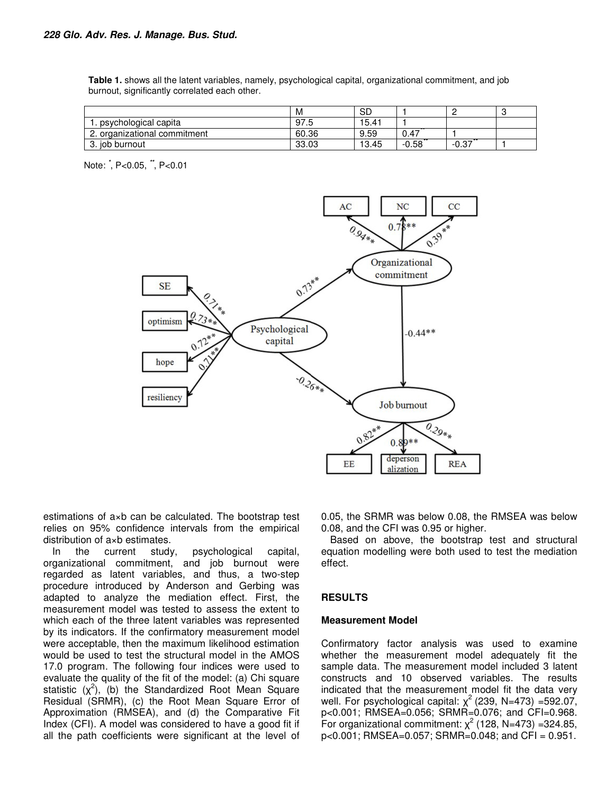**Table 1.** shows all the latent variables, namely, psychological capital, organizational commitment, and job burnout, significantly correlated each other.

|                           | M     | SD    |         |         |  |
|---------------------------|-------|-------|---------|---------|--|
| psychological capita      | 97.5  | 15.41 |         |         |  |
| organizational commitment | 60.36 | 9.59  | 0.47    |         |  |
| iob<br>burnout<br>J.      | 33.03 | 13.45 | $-0.58$ | $-0.37$ |  |

Note: **\*** , P<0.05, **\*\***, P<0.01



estimations of a×b can be calculated. The bootstrap test relies on 95% confidence intervals from the empirical distribution of a×b estimates.

In the current study, psychological capital, organizational commitment, and job burnout were regarded as latent variables, and thus, a two-step procedure introduced by Anderson and Gerbing was adapted to analyze the mediation effect. First, the measurement model was tested to assess the extent to which each of the three latent variables was represented by its indicators. If the confirmatory measurement model were acceptable, then the maximum likelihood estimation would be used to test the structural model in the AMOS 17.0 program. The following four indices were used to evaluate the quality of the fit of the model: (a) Chi square statistic  $(x^2)$ , (b) the Standardized Root Mean Square Residual (SRMR), (c) the Root Mean Square Error of Approximation (RMSEA), and (d) the Comparative Fit Index (CFI). A model was considered to have a good fit if all the path coefficients were significant at the level of

0.05, the SRMR was below 0.08, the RMSEA was below 0.08, and the CFI was 0.95 or higher.

Based on above, the bootstrap test and structural equation modelling were both used to test the mediation effect.

#### **RESULTS**

#### **Measurement Model**

Confirmatory factor analysis was used to examine whether the measurement model adequately fit the sample data. The measurement model included 3 latent constructs and 10 observed variables. The results indicated that the measurement model fit the data very well. For psychological capital:  $\chi^2$  (239, N=473) =592.07, p<0.001; RMSEA=0.056; SRMR=0.076; and CFI=0.968.  $\overline{F}$ or organizational commitment:  $\chi^2$  (128, N=473) =324.85,  $p<0.001$ ; RMSEA=0.057; SRMR=0.048; and CFI = 0.951.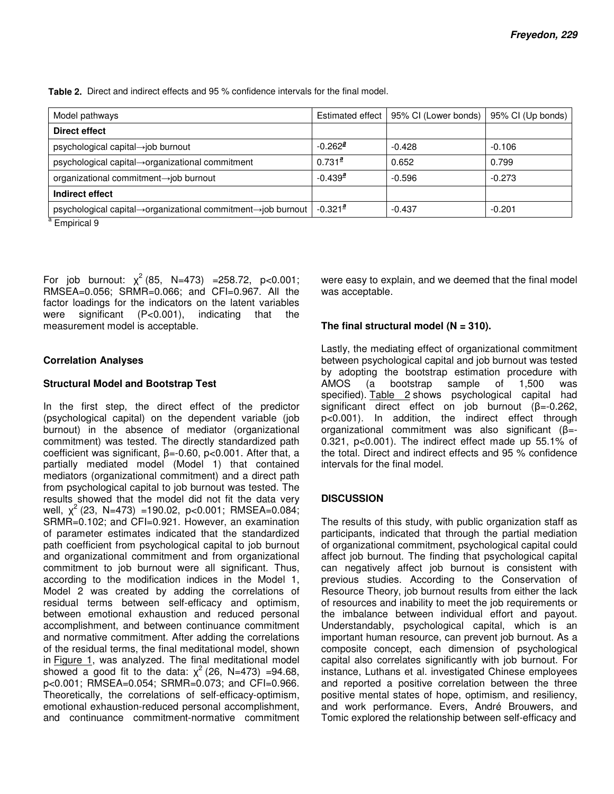| Model pathways                                              | Estimated effect         | 95% CI (Lower bonds) | 95% CI (Up bonds) |
|-------------------------------------------------------------|--------------------------|----------------------|-------------------|
| <b>Direct effect</b>                                        |                          |                      |                   |
| psychological capital→job burnout                           | $-0.262$ <sup>a</sup>    | $-0.428$             | $-0.106$          |
| psychological capital→organizational commitment             | $0.731^{4}$              | 0.652                | 0.799             |
| organizational commitment→job burnout                       | $-0.439^{\underline{a}}$ | $-0.596$             | $-0.273$          |
| Indirect effect                                             |                          |                      |                   |
| psychological capital→organizational commitment→job burnout | $-0.321$ <sup>a</sup>    | $-0.437$             | $-0.201$          |

**Table 2.** Direct and indirect effects and 95 % confidence intervals for the final model.

<sup>a</sup> Empirical 9

For job burnout:  $\chi^2$  (85, N=473) = 258.72, p<0.001; RMSEA=0.056; SRMR=0.066; and CFI=0.967. All the factor loadings for the indicators on the latent variables were significant (P<0.001), indicating that the measurement model is acceptable.

### **Correlation Analyses**

### **Structural Model and Bootstrap Test**

In the first step, the direct effect of the predictor (psychological capital) on the dependent variable (job burnout) in the absence of mediator (organizational commitment) was tested. The directly standardized path coefficient was significant, β=-0.60, p<0.001. After that, a partially mediated model (Model 1) that contained mediators (organizational commitment) and a direct path from psychological capital to job burnout was tested. The results showed that the model did not fit the data very well,  $\chi^2$  (23, N=473) =190.02, p<0.001; RMSEA=0.084; SRMR=0.102; and CFI=0.921. However, an examination of parameter estimates indicated that the standardized path coefficient from psychological capital to job burnout and organizational commitment and from organizational commitment to job burnout were all significant. Thus, according to the modification indices in the Model 1, Model 2 was created by adding the correlations of residual terms between self-efficacy and optimism, between emotional exhaustion and reduced personal accomplishment, and between continuance commitment and normative commitment. After adding the correlations of the residual terms, the final meditational model, shown in Figure 1, was analyzed. The final meditational model showed a good fit to the data:  $\chi^2$  (26, N=473) =94.68, p<0.001; RMSEA=0.054; SRMR=0.073; and CFI=0.966. Theoretically, the correlations of self-efficacy-optimism, emotional exhaustion-reduced personal accomplishment, and continuance commitment-normative commitment

were easy to explain, and we deemed that the final model was acceptable.

# **The final structural model (N = 310).**

Lastly, the mediating effect of organizational commitment between psychological capital and job burnout was tested by adopting the bootstrap estimation procedure with AMOS (a bootstrap sample of 1,500 was specified). Table 2 shows psychological capital had significant direct effect on job burnout (β=-0.262, p<0.001). In addition, the indirect effect through organizational commitment was also significant (β=- 0.321, p<0.001). The indirect effect made up 55.1% of the total. Direct and indirect effects and 95 % confidence intervals for the final model.

# **DISCUSSION**

The results of this study, with public organization staff as participants, indicated that through the partial mediation of organizational commitment, psychological capital could affect job burnout. The finding that psychological capital can negatively affect job burnout is consistent with previous studies. According to the Conservation of Resource Theory, job burnout results from either the lack of resources and inability to meet the job requirements or the imbalance between individual effort and payout. Understandably, psychological capital, which is an important human resource, can prevent job burnout. As a composite concept, each dimension of psychological capital also correlates significantly with job burnout. For instance, Luthans et al. investigated Chinese employees and reported a positive correlation between the three positive mental states of hope, optimism, and resiliency, and work performance. Evers, André Brouwers, and Tomic explored the relationship between self-efficacy and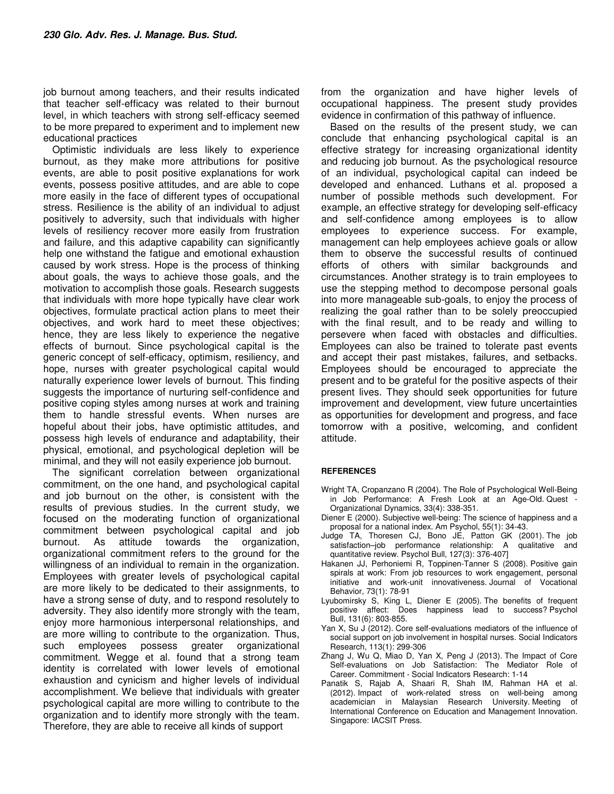job burnout among teachers, and their results indicated that teacher self-efficacy was related to their burnout level, in which teachers with strong self-efficacy seemed to be more prepared to experiment and to implement new educational practices

Optimistic individuals are less likely to experience burnout, as they make more attributions for positive events, are able to posit positive explanations for work events, possess positive attitudes, and are able to cope more easily in the face of different types of occupational stress. Resilience is the ability of an individual to adjust positively to adversity, such that individuals with higher levels of resiliency recover more easily from frustration and failure, and this adaptive capability can significantly help one withstand the fatigue and emotional exhaustion caused by work stress. Hope is the process of thinking about goals, the ways to achieve those goals, and the motivation to accomplish those goals. Research suggests that individuals with more hope typically have clear work objectives, formulate practical action plans to meet their objectives, and work hard to meet these objectives; hence, they are less likely to experience the negative effects of burnout. Since psychological capital is the generic concept of self-efficacy, optimism, resiliency, and hope, nurses with greater psychological capital would naturally experience lower levels of burnout. This finding suggests the importance of nurturing self-confidence and positive coping styles among nurses at work and training them to handle stressful events. When nurses are hopeful about their jobs, have optimistic attitudes, and possess high levels of endurance and adaptability, their physical, emotional, and psychological depletion will be minimal, and they will not easily experience job burnout.

The significant correlation between organizational commitment, on the one hand, and psychological capital and job burnout on the other, is consistent with the results of previous studies. In the current study, we focused on the moderating function of organizational commitment between psychological capital and job burnout. As attitude towards the organization, organizational commitment refers to the ground for the willingness of an individual to remain in the organization. Employees with greater levels of psychological capital are more likely to be dedicated to their assignments, to have a strong sense of duty, and to respond resolutely to adversity. They also identify more strongly with the team, enjoy more harmonious interpersonal relationships, and are more willing to contribute to the organization. Thus, such employees possess greater organizational commitment. Wegge et al. found that a strong team identity is correlated with lower levels of emotional exhaustion and cynicism and higher levels of individual accomplishment. We believe that individuals with greater psychological capital are more willing to contribute to the organization and to identify more strongly with the team. Therefore, they are able to receive all kinds of support

from the organization and have higher levels of occupational happiness. The present study provides evidence in confirmation of this pathway of influence.

Based on the results of the present study, we can conclude that enhancing psychological capital is an effective strategy for increasing organizational identity and reducing job burnout. As the psychological resource of an individual, psychological capital can indeed be developed and enhanced. Luthans et al. proposed a number of possible methods such development. For example, an effective strategy for developing self-efficacy and self-confidence among employees is to allow employees to experience success. For example, management can help employees achieve goals or allow them to observe the successful results of continued efforts of others with similar backgrounds and circumstances. Another strategy is to train employees to use the stepping method to decompose personal goals into more manageable sub-goals, to enjoy the process of realizing the goal rather than to be solely preoccupied with the final result, and to be ready and willing to persevere when faced with obstacles and difficulties. Employees can also be trained to tolerate past events and accept their past mistakes, failures, and setbacks. Employees should be encouraged to appreciate the present and to be grateful for the positive aspects of their present lives. They should seek opportunities for future improvement and development, view future uncertainties as opportunities for development and progress, and face tomorrow with a positive, welcoming, and confident attitude.

#### **REFERENCES**

- Wright TA, Cropanzano R (2004). The Role of Psychological Well-Being in Job Performance: A Fresh Look at an Age-Old. Quest - Organizational Dynamics, 33(4): 338-351.
- Diener E (2000). Subjective well-being: The science of happiness and a proposal for a national index. Am Psychol, 55(1): 34-43.
- Judge TA, Thoresen CJ, Bono JE, Patton GK (2001). The job satisfaction–job performance relationship: A qualitative and quantitative review. Psychol Bull, 127(3): 376-407]
- Hakanen JJ, Perhoniemi R, Toppinen-Tanner S (2008). Positive gain spirals at work: From job resources to work engagement, personal initiative and work-unit innovativeness. Journal of Vocational Behavior, 73(1): 78-91
- Lyubomirsky S, King L, Diener E (2005). The benefits of frequent positive affect: Does happiness lead to success? Psychol Bull, 131(6): 803-855.
- Yan X, Su J (2012). Core self-evaluations mediators of the influence of social support on job involvement in hospital nurses. Social Indicators Research, 113(1): 299-306
- Zhang J, Wu Q, Miao D, Yan X, Peng J (2013). The Impact of Core Self-evaluations on Job Satisfaction: The Mediator Role of Career. Commitment - Social Indicators Research: 1-14
- Panatik S, Rajab A, Shaari R, Shah IM, Rahman HA et al. (2012). Impact of work-related stress on well-being among academician in Malaysian Research University. Meeting of International Conference on Education and Management Innovation. Singapore: IACSIT Press.